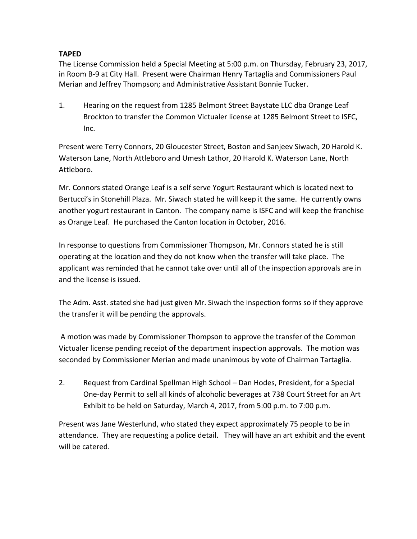## **TAPED**

 The License Commission held a Special Meeting at 5:00 p.m. on Thursday, February 23, 2017, in Room B‐9 at City Hall. Present were Chairman Henry Tartaglia and Commissioners Paul Merian and Jeffrey Thompson; and Administrative Assistant Bonnie Tucker.

 1. Hearing on the request from 1285 Belmont Street Baystate LLC dba Orange Leaf Brockton to transfer the Common Victualer license at 1285 Belmont Street to ISFC, Inc.

 Present were Terry Connors, 20 Gloucester Street, Boston and Sanjeev Siwach, 20 Harold K. Waterson Lane, North Attleboro and Umesh Lathor, 20 Harold K. Waterson Lane, North Attleboro.

 Mr. Connors stated Orange Leaf is a self serve Yogurt Restaurant which is located next to Bertucci's in Stonehill Plaza. Mr. Siwach stated he will keep it the same. He currently owns another yogurt restaurant in Canton. The company name is ISFC and will keep the franchise as Orange Leaf. He purchased the Canton location in October, 2016.

 In response to questions from Commissioner Thompson, Mr. Connors stated he is still operating at the location and they do not know when the transfer will take place. The applicant was reminded that he cannot take over until all of the inspection approvals are in and the license is issued.

 The Adm. Asst. stated she had just given Mr. Siwach the inspection forms so if they approve the transfer it will be pending the approvals.

 A motion was made by Commissioner Thompson to approve the transfer of the Common Victualer license pending receipt of the department inspection approvals. The motion was seconded by Commissioner Merian and made unanimous by vote of Chairman Tartaglia.

 2. Request from Cardinal Spellman High School – Dan Hodes, President, for a Special One‐day Permit to sell all kinds of alcoholic beverages at 738 Court Street for an Art Exhibit to be held on Saturday, March 4, 2017, from 5:00 p.m. to 7:00 p.m.

 Present was Jane Westerlund, who stated they expect approximately 75 people to be in attendance. They are requesting a police detail. They will have an art exhibit and the event will be catered.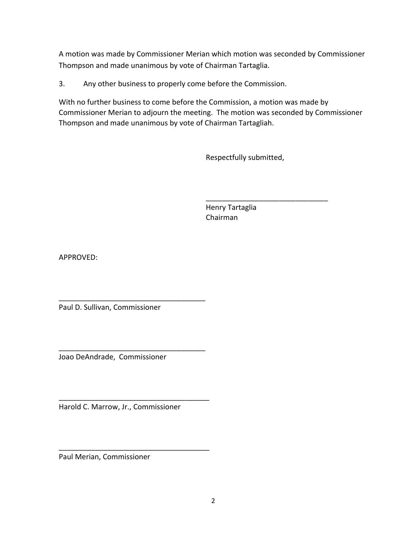A motion was made by Commissioner Merian which motion was seconded by Commissioner Thompson and made unanimous by vote of Chairman Tartaglia.

3. Any other business to properly come before the Commission.

 With no further business to come before the Commission, a motion was made by Commissioner Merian to adjourn the meeting. The motion was seconded by Commissioner Thompson and made unanimous by vote of Chairman Tartagliah.

**Respectfully submitted,** 

\_\_\_\_\_\_\_\_\_\_\_\_\_\_\_\_\_\_\_\_\_\_\_\_\_\_\_\_\_\_

 Henry Tartaglia Chairman

APPROVED:

Paul D. Sullivan, Commissioner

\_\_\_\_\_\_\_\_\_\_\_\_\_\_\_\_\_\_\_\_\_\_\_\_\_\_\_\_\_\_\_\_\_\_\_\_

\_\_\_\_\_\_\_\_\_\_\_\_\_\_\_\_\_\_\_\_\_\_\_\_\_\_\_\_\_\_\_\_\_\_\_\_

\_\_\_\_\_\_\_\_\_\_\_\_\_\_\_\_\_\_\_\_\_\_\_\_\_\_\_\_\_\_\_\_\_\_\_\_\_

\_\_\_\_\_\_\_\_\_\_\_\_\_\_\_\_\_\_\_\_\_\_\_\_\_\_\_\_\_\_\_\_\_\_\_\_\_

Joao DeAndrade, Commissioner

Harold C. Marrow, Jr., Commissioner

Paul Merian, Commissioner